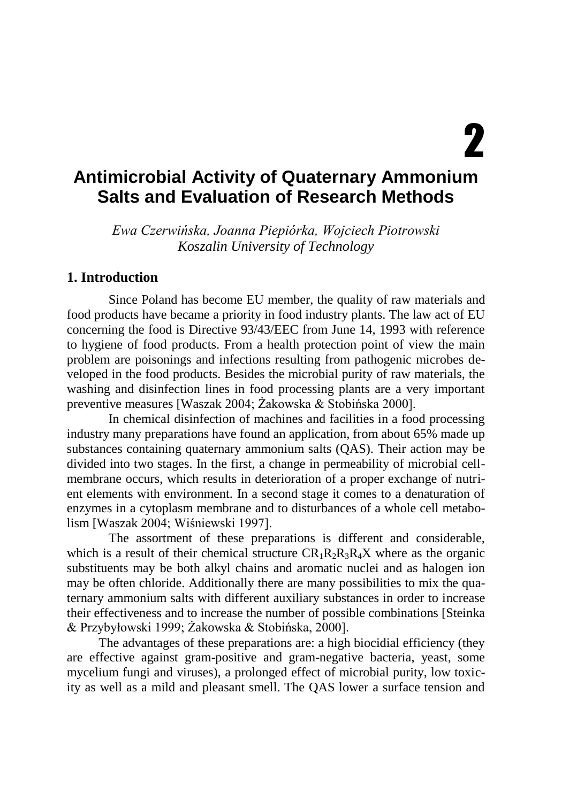# 2

# **Antimicrobial Activity of Quaternary Ammonium Salts and Evaluation of Research Methods**

*Ewa Czerwińska, Joanna Piepiórka, Wojciech Piotrowski Koszalin University of Technology*

#### **1. Introduction**

Since Poland has become EU member, the quality of raw materials and food products have became a priority in food industry plants. The law act of EU concerning the food is Directive 93/43/EEC from June 14, 1993 with reference to hygiene of food products. From a health protection point of view the main problem are poisonings and infections resulting from pathogenic microbes developed in the food products. Besides the microbial purity of raw materials, the washing and disinfection lines in food processing plants are a very important preventive measures [Waszak 2004; Żakowska & Stobińska 2000].

In chemical disinfection of machines and facilities in a food processing industry many preparations have found an application, from about 65% made up substances containing quaternary ammonium salts (QAS). Their action may be divided into two stages. In the first, a change in permeability of microbial cellmembrane occurs, which results in deterioration of a proper exchange of nutrient elements with environment. In a second stage it comes to a denaturation of enzymes in a cytoplasm membrane and to disturbances of a whole cell metabolism [Waszak 2004; Wiśniewski 1997].

The assortment of these preparations is different and considerable, which is a result of their chemical structure  $CR_1R_2R_3R_4X$  where as the organic substituents may be both alkyl chains and aromatic nuclei and as halogen ion may be often chloride. Additionally there are many possibilities to mix the quaternary ammonium salts with different auxiliary substances in order to increase their effectiveness and to increase the number of possible combinations [Steinka & Przybyłowski 1999; Żakowska & Stobińska, 2000].

The advantages of these preparations are: a high biocidial efficiency (they are effective against gram-positive and gram-negative bacteria, yeast, some mycelium fungi and viruses), a prolonged effect of microbial purity, low toxicity as well as a mild and pleasant smell. The QAS lower a surface tension and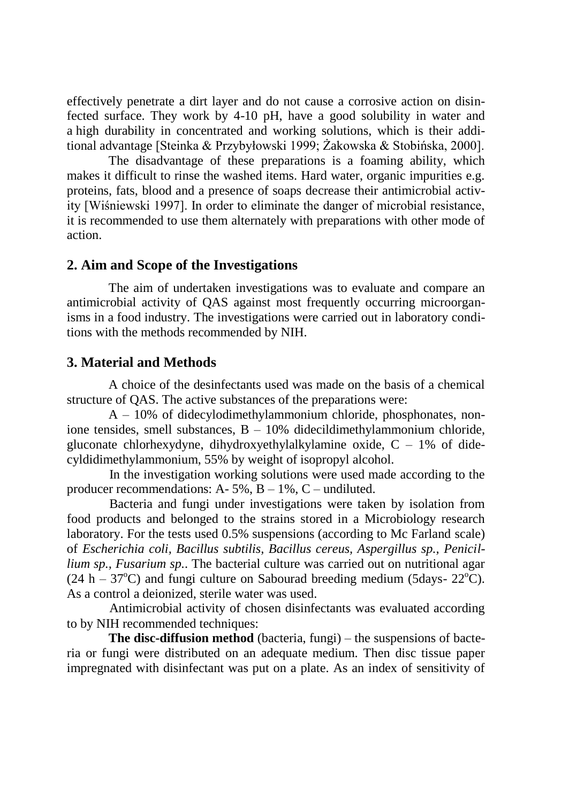effectively penetrate a dirt layer and do not cause a corrosive action on disinfected surface. They work by 4-10 pH, have a good solubility in water and a high durability in concentrated and working solutions, which is their additional advantage [Steinka & Przybyłowski 1999; Żakowska & Stobińska, 2000].

The disadvantage of these preparations is a foaming ability, which makes it difficult to rinse the washed items. Hard water, organic impurities e.g. proteins, fats, blood and a presence of soaps decrease their antimicrobial activity [Wiśniewski 1997]. In order to eliminate the danger of microbial resistance, it is recommended to use them alternately with preparations with other mode of action.

#### **2. Aim and Scope of the Investigations**

The aim of undertaken investigations was to evaluate and compare an antimicrobial activity of QAS against most frequently occurring microorganisms in a food industry. The investigations were carried out in laboratory conditions with the methods recommended by NIH.

#### **3. Material and Methods**

A choice of the desinfectants used was made on the basis of a chemical structure of QAS. The active substances of the preparations were:

A – 10% of didecylodimethylammonium chloride, phosphonates, nonione tensides, smell substances,  $B - 10\%$  didecildimethylammonium chloride, gluconate chlorhexydyne, dihydroxyethylalkylamine oxide,  $C - 1\%$  of didecyldidimethylammonium, 55% by weight of isopropyl alcohol.

In the investigation working solutions were used made according to the producer recommendations:  $A - 5\%$ ,  $B - 1\%$ ,  $C -$  undiluted.

Bacteria and fungi under investigations were taken by isolation from food products and belonged to the strains stored in a Microbiology research laboratory. For the tests used 0.5% suspensions (according to Mc Farland scale) of *Escherichia coli, Bacillus subtilis, Bacillus cereus, Aspergillus sp., Penicillium sp., Fusarium sp.*. The bacterial culture was carried out on nutritional agar  $(24 h - 37^{\circ}C)$  and fungi culture on Sabourad breeding medium (5days- 22 $^{\circ}C$ ). As a control a deionized, sterile water was used.

Antimicrobial activity of chosen disinfectants was evaluated according to by NIH recommended techniques:

**The disc-diffusion method** (bacteria, fungi) – the suspensions of bacteria or fungi were distributed on an adequate medium. Then disc tissue paper impregnated with disinfectant was put on a plate. As an index of sensitivity of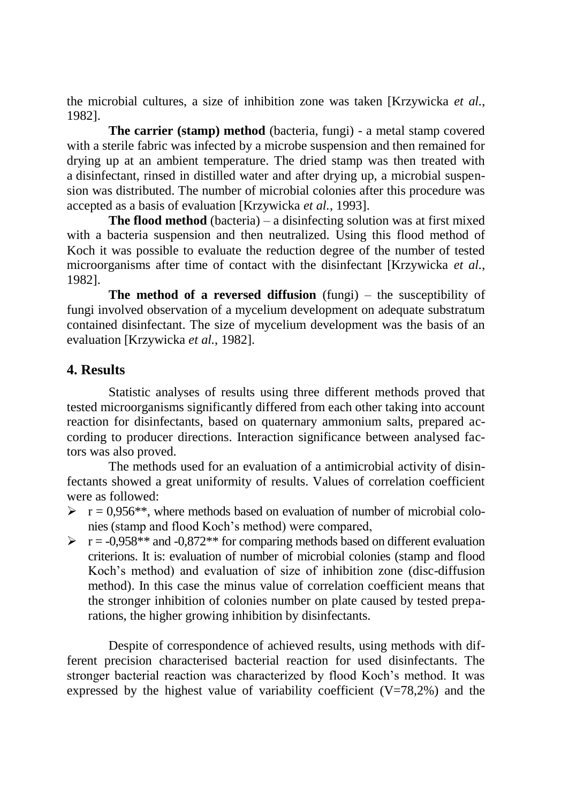the microbial cultures, a size of inhibition zone was taken [Krzywicka *et al.*, 1982].

**The carrier (stamp) method** (bacteria, fungi) - a metal stamp covered with a sterile fabric was infected by a microbe suspension and then remained for drying up at an ambient temperature. The dried stamp was then treated with a disinfectant, rinsed in distilled water and after drying up, a microbial suspension was distributed. The number of microbial colonies after this procedure was accepted as a basis of evaluation [Krzywicka *et al.*, 1993].

**The flood method** (bacteria) – a disinfecting solution was at first mixed with a bacteria suspension and then neutralized. Using this flood method of Koch it was possible to evaluate the reduction degree of the number of tested microorganisms after time of contact with the disinfectant [Krzywicka *et al.*, 1982].

**The method of a reversed diffusion** (fungi) – the susceptibility of fungi involved observation of a mycelium development on adequate substratum contained disinfectant. The size of mycelium development was the basis of an evaluation [Krzywicka *et al.*, 1982].

### **4. Results**

Statistic analyses of results using three different methods proved that tested microorganisms significantly differed from each other taking into account reaction for disinfectants, based on quaternary ammonium salts, prepared according to producer directions. Interaction significance between analysed factors was also proved.

The methods used for an evaluation of a antimicrobial activity of disinfectants showed a great uniformity of results. Values of correlation coefficient were as followed:

- $\triangleright$   $r = 0.956$ <sup>\*\*</sup>, where methods based on evaluation of number of microbial colonies (stamp and flood Koch's method) were compared,
- $\triangleright$   $r = -0.958**$  and  $-0.872**$  for comparing methods based on different evaluation criterions. It is: evaluation of number of microbial colonies (stamp and flood Koch's method) and evaluation of size of inhibition zone (disc-diffusion method). In this case the minus value of correlation coefficient means that the stronger inhibition of colonies number on plate caused by tested preparations, the higher growing inhibition by disinfectants.

Despite of correspondence of achieved results, using methods with different precision characterised bacterial reaction for used disinfectants. The stronger bacterial reaction was characterized by flood Koch's method. It was expressed by the highest value of variability coefficient  $(V=78,2%)$  and the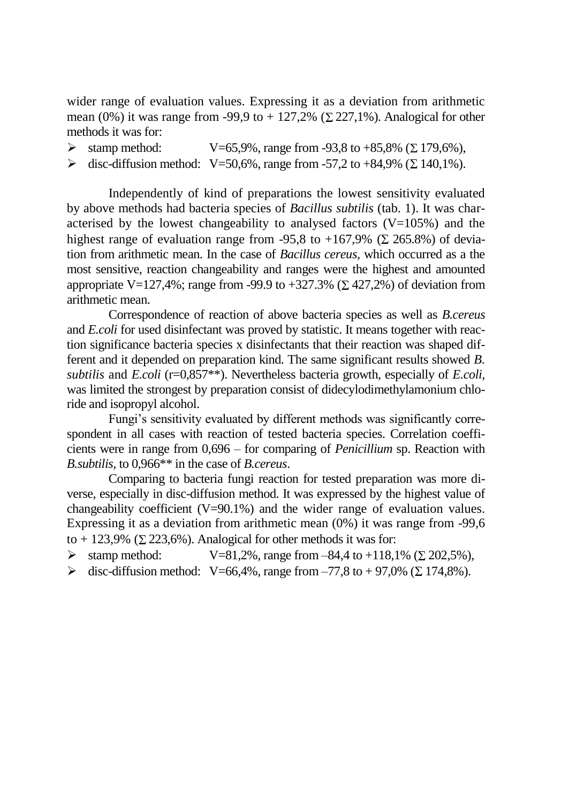wider range of evaluation values. Expressing it as a deviation from arithmetic mean (0%) it was range from -99,9 to + 127,2% ( $\Sigma$  227,1%). Analogical for other methods it was for:

- $\triangleright$  stamp method:  $V=65,9\%$ , range from -93,8 to +85,8% ( $\Sigma$  179,6%),
- $\triangleright$  disc-diffusion method: V=50,6%, range from -57,2 to +84,9% ( $\Sigma$  140,1%).

Independently of kind of preparations the lowest sensitivity evaluated by above methods had bacteria species of *Bacillus subtilis* (tab. 1). It was characterised by the lowest changeability to analysed factors  $(V=105%)$  and the highest range of evaluation range from -95.8 to +167,9% ( $\Sigma$  265.8%) of deviation from arithmetic mean. In the case of *Bacillus cereus*, which occurred as a the most sensitive, reaction changeability and ranges were the highest and amounted appropriate V=127,4%; range from -99.9 to +327.3% ( $\Sigma$  427,2%) of deviation from arithmetic mean.

Correspondence of reaction of above bacteria species as well as *B.cereus*  and *E.coli* for used disinfectant was proved by statistic. It means together with reaction significance bacteria species x disinfectants that their reaction was shaped different and it depended on preparation kind. The same significant results showed *B. subtilis* and *E.coli* (r=0,857\*\*). Nevertheless bacteria growth, especially of *E.coli,* was limited the strongest by preparation consist of didecylodimethylamonium chloride and isopropyl alcohol.

Fungi's sensitivity evaluated by different methods was significantly correspondent in all cases with reaction of tested bacteria species. Correlation coefficients were in range from 0,696 – for comparing of *Penicillium* sp. Reaction with *B.subtilis*, to 0,966\*\* in the case of *B.cereus*.

Comparing to bacteria fungi reaction for tested preparation was more diverse, especially in disc-diffusion method. It was expressed by the highest value of changeability coefficient (V=90.1%) and the wider range of evaluation values. Expressing it as a deviation from arithmetic mean (0%) it was range from -99,6 to + 123,9% ( $\Sigma$  223,6%). Analogical for other methods it was for:

- $\triangleright$  stamp method:  $V=81,2\%$ , range from  $-84,4$  to  $+118,1\%$  ( $\Sigma$  202,5%),
- $\triangleright$  disc-diffusion method: V=66,4%, range from -77,8 to +97,0% ( $\Sigma$  174,8%).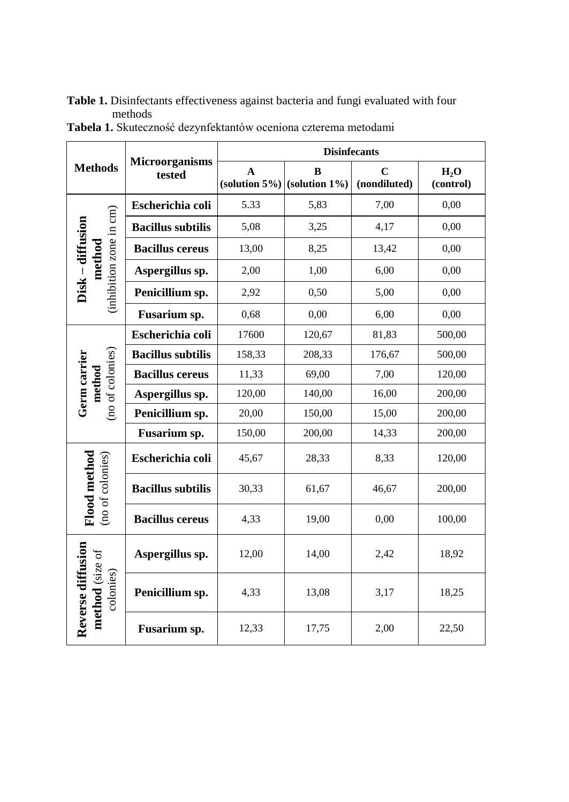| Table 1. Disinfectants effectiveness against bacteria and fungi evaluated with four |
|-------------------------------------------------------------------------------------|
| methods                                                                             |

|                                                   | <b>Microorganisms</b><br>tested | <b>Disinfecants</b> |                                          |                             |                               |
|---------------------------------------------------|---------------------------------|---------------------|------------------------------------------|-----------------------------|-------------------------------|
| <b>Methods</b>                                    |                                 | $\mathbf{A}$        | B<br>(solution $5\%$ ) (solution $1\%$ ) | $\mathbf C$<br>(nondiluted) | H <sub>2</sub> O<br>(control) |
| (inhibition zone in cm)<br>Disk - diffusion       | Escherichia coli                | 5.33                | 5,83                                     | 7,00                        | 0,00                          |
|                                                   | <b>Bacillus subtilis</b>        | 5,08                | 3,25                                     | 4,17                        | 0,00                          |
|                                                   | <b>Bacillus</b> cereus          | 13,00               | 8,25                                     | 13,42                       | 0,00                          |
| method                                            | Aspergillus sp.                 | 2,00                | 1,00                                     | 6,00                        | 0,00                          |
|                                                   | Penicillium sp.                 | 2,92                | 0,50                                     | 5,00                        | 0,00                          |
|                                                   | Fusarium sp.                    | 0,68                | 0,00                                     | 6,00                        | 0,00                          |
|                                                   | Escherichia coli                | 17600               | 120,67                                   | 81,83                       | 500,00                        |
|                                                   | <b>Bacillus subtilis</b>        | 158,33              | 208,33                                   | 176,67                      | 500,00                        |
| (no of colonies)<br>Germ carrier<br>method        | <b>Bacillus cereus</b>          | 11,33               | 69,00                                    | 7,00                        | 120,00                        |
|                                                   | Aspergillus sp.                 | 120,00              | 140,00                                   | 16,00                       | 200,00                        |
|                                                   | Penicillium sp.                 | 20,00               | 150,00                                   | 15,00                       | 200,00                        |
|                                                   | Fusarium sp.                    | 150,00              | 200,00                                   | 14,33                       | 200,00                        |
| Flood method<br>(no of colonies)                  | Escherichia coli                | 45,67               | 28,33                                    | 8.33                        | 120,00                        |
|                                                   | <b>Bacillus subtilis</b>        | 30,33               | 61,67                                    | 46,67                       | 200,00                        |
|                                                   | <b>Bacillus cereus</b>          | 4,33                | 19,00                                    | 0,00                        | 100,00                        |
| Reverse diffusion<br>method (size of<br>colonies) | Aspergillus sp.                 | 12,00               | 14,00                                    | 2,42                        | 18,92                         |
|                                                   | Penicillium sp.                 | 4,33                | 13,08                                    | 3,17                        | 18,25                         |
|                                                   | Fusarium sp.                    | 12,33               | 17,75                                    | 2,00                        | 22,50                         |

**Tabela 1.** Skuteczność dezynfektantów oceniona czterema metodami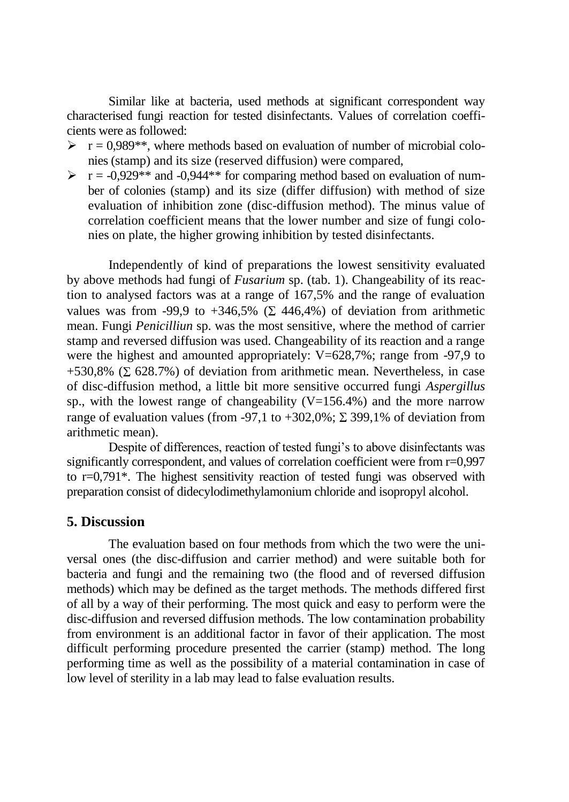Similar like at bacteria, used methods at significant correspondent way characterised fungi reaction for tested disinfectants. Values of correlation coefficients were as followed:

- $\triangleright$   $r = 0.989$ <sup>\*\*</sup>, where methods based on evaluation of number of microbial colonies (stamp) and its size (reserved diffusion) were compared,
- $\triangleright$   $r = -0.929**$  and  $-0.944**$  for comparing method based on evaluation of number of colonies (stamp) and its size (differ diffusion) with method of size evaluation of inhibition zone (disc-diffusion method). The minus value of correlation coefficient means that the lower number and size of fungi colonies on plate, the higher growing inhibition by tested disinfectants.

Independently of kind of preparations the lowest sensitivity evaluated by above methods had fungi of *Fusarium* sp. (tab. 1). Changeability of its reaction to analysed factors was at a range of 167,5% and the range of evaluation values was from -99,9 to +346,5% ( $\Sigma$  446,4%) of deviation from arithmetic mean. Fungi *Penicilliun* sp. was the most sensitive, where the method of carrier stamp and reversed diffusion was used. Changeability of its reaction and a range were the highest and amounted appropriately:  $V=628,7\%$ ; range from -97,9 to +530,8% ( $\Sigma$  628.7%) of deviation from arithmetic mean. Nevertheless, in case of disc-diffusion method, a little bit more sensitive occurred fungi *Aspergillus* sp., with the lowest range of changeability  $(V=156.4\%)$  and the more narrow range of evaluation values (from -97,1 to +302,0%;  $\Sigma$  399,1% of deviation from arithmetic mean).

Despite of differences, reaction of tested fungi's to above disinfectants was significantly correspondent, and values of correlation coefficient were from  $r=0.997$ to r=0,791\*. The highest sensitivity reaction of tested fungi was observed with preparation consist of didecylodimethylamonium chloride and isopropyl alcohol.

#### **5. Discussion**

The evaluation based on four methods from which the two were the universal ones (the disc-diffusion and carrier method) and were suitable both for bacteria and fungi and the remaining two (the flood and of reversed diffusion methods) which may be defined as the target methods. The methods differed first of all by a way of their performing. The most quick and easy to perform were the disc-diffusion and reversed diffusion methods. The low contamination probability from environment is an additional factor in favor of their application. The most difficult performing procedure presented the carrier (stamp) method. The long performing time as well as the possibility of a material contamination in case of low level of sterility in a lab may lead to false evaluation results.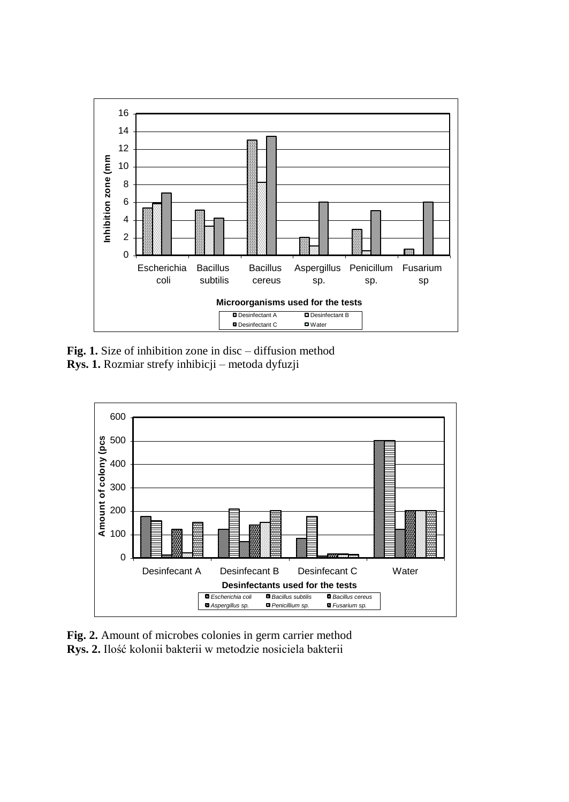

**Fig. 1.** Size of inhibition zone in disc – diffusion method **Rys. 1.** Rozmiar strefy inhibicji – metoda dyfuzji



**Fig. 2.** Amount of microbes colonies in germ carrier method **Rys. 2.** Ilość kolonii bakterii w metodzie nosiciela bakterii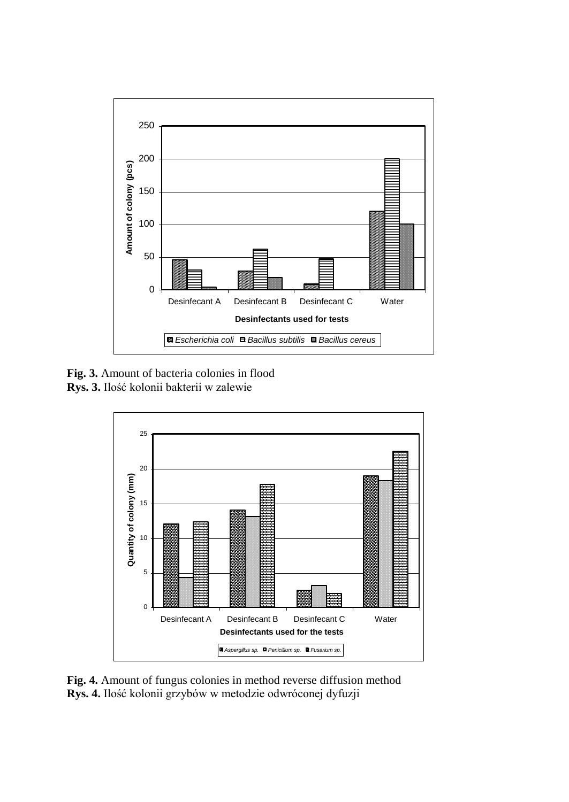

**Fig. 3.** Amount of bacteria colonies in flood **Rys. 3.** Ilość kolonii bakterii w zalewie



**Fig. 4.** Amount of fungus colonies in method reverse diffusion method **Rys. 4.** Ilość kolonii grzybów w metodzie odwróconej dyfuzji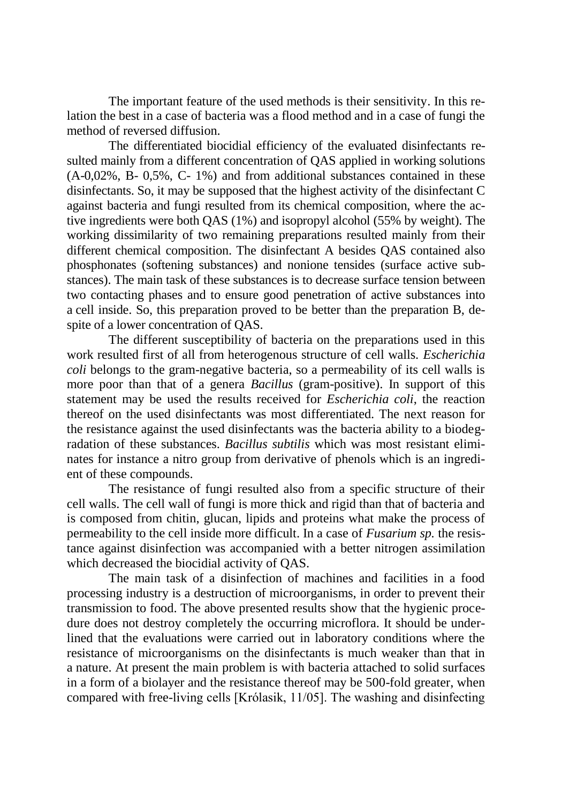The important feature of the used methods is their sensitivity. In this relation the best in a case of bacteria was a flood method and in a case of fungi the method of reversed diffusion.

The differentiated biocidial efficiency of the evaluated disinfectants resulted mainly from a different concentration of QAS applied in working solutions (A-0,02%, B- 0,5%, C- 1%) and from additional substances contained in these disinfectants. So, it may be supposed that the highest activity of the disinfectant C against bacteria and fungi resulted from its chemical composition, where the active ingredients were both QAS (1%) and isopropyl alcohol (55% by weight). The working dissimilarity of two remaining preparations resulted mainly from their different chemical composition. The disinfectant A besides QAS contained also phosphonates (softening substances) and nonione tensides (surface active substances). The main task of these substances is to decrease surface tension between two contacting phases and to ensure good penetration of active substances into a cell inside. So, this preparation proved to be better than the preparation B, despite of a lower concentration of QAS.

The different susceptibility of bacteria on the preparations used in this work resulted first of all from heterogenous structure of cell walls. *Escherichia coli* belongs to the gram-negative bacteria, so a permeability of its cell walls is more poor than that of a genera *Bacillus* (gram-positive). In support of this statement may be used the results received for *Escherichia coli*, the reaction thereof on the used disinfectants was most differentiated. The next reason for the resistance against the used disinfectants was the bacteria ability to a biodegradation of these substances. *Bacillus subtilis* which was most resistant eliminates for instance a nitro group from derivative of phenols which is an ingredient of these compounds.

The resistance of fungi resulted also from a specific structure of their cell walls. The cell wall of fungi is more thick and rigid than that of bacteria and is composed from chitin, glucan, lipids and proteins what make the process of permeability to the cell inside more difficult. In a case of *Fusarium sp.* the resistance against disinfection was accompanied with a better nitrogen assimilation which decreased the biocidial activity of QAS.

The main task of a disinfection of machines and facilities in a food processing industry is a destruction of microorganisms, in order to prevent their transmission to food. The above presented results show that the hygienic procedure does not destroy completely the occurring microflora. It should be underlined that the evaluations were carried out in laboratory conditions where the resistance of microorganisms on the disinfectants is much weaker than that in a nature. At present the main problem is with bacteria attached to solid surfaces in a form of a biolayer and the resistance thereof may be 500-fold greater, when compared with free-living cells [Królasik, 11/05]. The washing and disinfecting